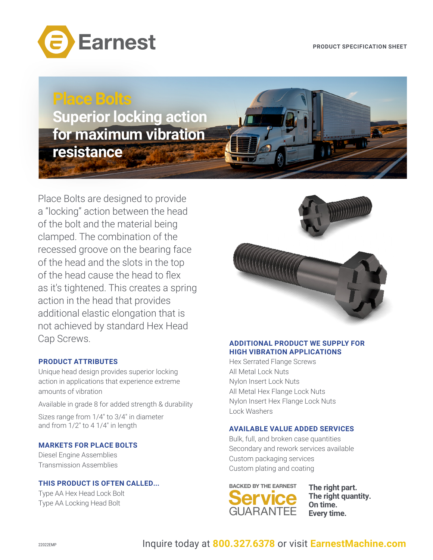

**Place Bolts Superior locking action for maximum vibration resistance** 

Place Bolts are designed to provide a "locking" action between the head of the bolt and the material being clamped. The combination of the recessed groove on the bearing face of the head and the slots in the top of the head cause the head to flex as it's tightened. This creates a spring action in the head that provides additional elastic elongation that is not achieved by standard Hex Head Cap Screws.

# **PRODUCT ATTRIBUTES**

Unique head design provides superior locking action in applications that experience extreme amounts of vibration

Available in grade 8 for added strength & durability

Sizes range from 1/4" to 3/4" in diameter and from 1/2" to 4 1/4" in length

### **MARKETS FOR PLACE BOLTS**

Diesel Engine Assemblies Transmission Assemblies

# **THIS PRODUCT IS OFTEN CALLED...**

Type AA Hex Head Lock Bolt Type AA Locking Head Bolt



#### **ADDITIONAL PRODUCT WE SUPPLY FOR HIGH VIBRATION APPLICATIONS**

Hex Serrated Flange Screws All Metal Lock Nuts Nylon Insert Lock Nuts All Metal Hex Flange Lock Nuts Nylon Insert Hex Flange Lock Nuts Lock Washers

#### **AVAILABLE VALUE ADDED SERVICES**

Bulk, full, and broken case quantities Secondary and rework services available Custom packaging services Custom plating and coating



**The right quantity. On time. Every time.**